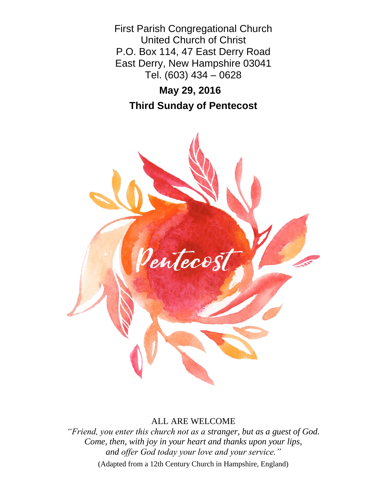First Parish Congregational Church United Church of Christ P.O. Box 114, 47 East Derry Road East Derry, New Hampshire 03041 Tel. (603) 434 – 0628

# **May 29, 2016**

**Third Sunday of Pentecost**



## ALL ARE WELCOME

*"Friend, you enter this church not as a stranger, but as a guest of God. Come, then, with joy in your heart and thanks upon your lips, and offer God today your love and your service."*

(Adapted from a 12th Century Church in Hampshire, England)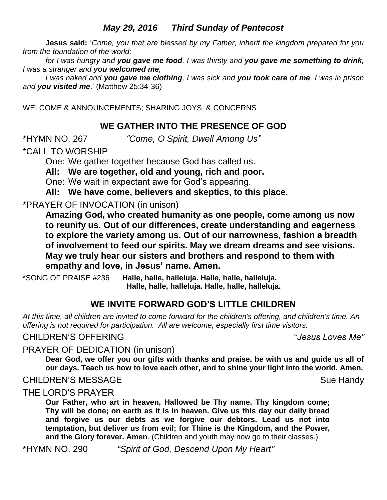# *May 29, 2016 Third Sunday of Pentecost*

**Jesus said:** '*Come, you that are blessed by my Father, inherit the kingdom prepared for you from the foundation of the world;* 

*for I was hungry and you gave me food, I was thirsty and you gave me something to drink, I was a stranger and you welcomed me,* 

*I was naked and you gave me clothing, I was sick and you took care of me, I was in prison and you visited me*.' (Matthew 25:34-36)

WELCOME & ANNOUNCEMENTS; SHARING JOYS & CONCERNS

# **WE GATHER INTO THE PRESENCE OF GOD**

\*HYMN NO. 267 *"Come, O Spirit, Dwell Among Us"*

\*CALL TO WORSHIP

One: We gather together because God has called us.

**All: We are together, old and young, rich and poor.**

One: We wait in expectant awe for God's appearing.

**All: We have come, believers and skeptics, to this place.**

# \*PRAYER OF INVOCATION (in unison)

**Amazing God, who created humanity as one people, come among us now to reunify us. Out of our differences, create understanding and eagerness to explore the variety among us. Out of our narrowness, fashion a breadth of involvement to feed our spirits. May we dream dreams and see visions. May we truly hear our sisters and brothers and respond to them with empathy and love, in Jesus' name. Amen.**

\*SONG OF PRAISE #236 **Halle, halle, halleluja. Halle, halle, halleluja. Halle, halle, halleluja. Halle, halle, halleluja.**

# **WE INVITE FORWARD GOD'S LITTLE CHILDREN**

*At this time, all children are invited to come forward for the children's offering, and children's time. An offering is not required for participation. All are welcome, especially first time visitors.*

CHILDREN'S OFFERING "*Jesus Loves Me"*

PRAYER OF DEDICATION (in unison)

**Dear God, we offer you our gifts with thanks and praise, be with us and guide us all of our days. Teach us how to love each other, and to shine your light into the world. Amen.**

## CHILDREN'S MESSAGE Sue Handy

# THE LORD'S PRAYER

**Our Father, who art in heaven, Hallowed be Thy name. Thy kingdom come; Thy will be done; on earth as it is in heaven. Give us this day our daily bread and forgive us our debts as we forgive our debtors. Lead us not into temptation, but deliver us from evil; for Thine is the Kingdom, and the Power, and the Glory forever. Amen**. (Children and youth may now go to their classes.)

\*HYMN NO. 290 *"Spirit of God, Descend Upon My Heart"*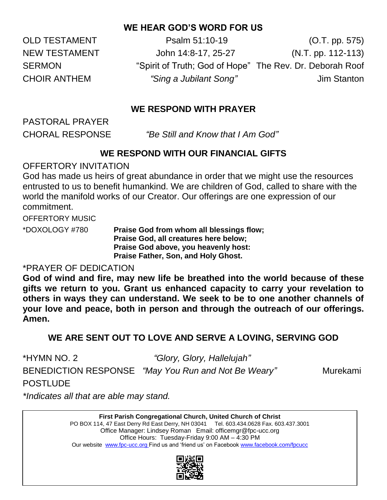# **WE HEAR GOD'S WORD FOR US**

OLD TESTAMENT Psalm 51:10-19 (O.T. pp. 575) NEW TESTAMENT John 14:8-17, 25-27 (N.T. pp. 112-113) SERMON "Spirit of Truth; God of Hope" The Rev. Dr. Deborah Roof CHOIR ANTHEM *"Sing a Jubilant Song"* Jim Stanton

# **WE RESPOND WITH PRAYER**

PASTORAL PRAYER

CHORAL RESPONSE "Be Still and Know that I Am God"

## **WE RESPOND WITH OUR FINANCIAL GIFTS**

## OFFERTORY INVITATION

God has made us heirs of great abundance in order that we might use the resources entrusted to us to benefit humankind. We are children of God, called to share with the world the manifold works of our Creator. Our offerings are one expression of our commitment.

OFFERTORY MUSIC

\*DOXOLOGY #780 **Praise God from whom all blessings flow; Praise God, all creatures here below; Praise God above, you heavenly host: Praise Father, Son, and Holy Ghost.**

## \*PRAYER OF DEDICATION

**God of wind and fire, may new life be breathed into the world because of these gifts we return to you. Grant us enhanced capacity to carry your revelation to others in ways they can understand. We seek to be to one another channels of your love and peace, both in person and through the outreach of our offerings. Amen.**

# **WE ARE SENT OUT TO LOVE AND SERVE A LOVING, SERVING GOD**

POSTLUDE

\*HYMN NO. 2 *"Glory, Glory, Hallelujah"*

BENEDICTION RESPONSE *"May You Run and Not Be Weary"* Murekami

*\*Indicates all that are able may stand.*

**First Parish Congregational Church, United Church of Christ** PO BOX 114, 47 East Derry Rd East Derry, NH 03041 Tel. 603.434.0628 Fax. 603.437.3001 Office Manager: Lindsey Roman Email: officemgr@fpc-ucc.org Office Hours: Tuesday-Friday 9:00 AM – 4:30 PM Our website [www.fpc-ucc.org](http://www.fpc-ucc.org/) Find us and 'friend us' on Faceboo[k www.facebook.com/fpcucc](http://www.facebook.com/fpcucc)

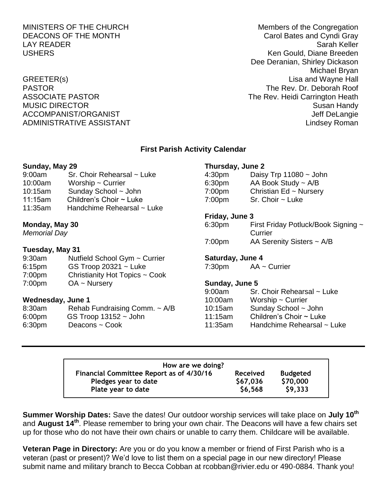# ADMINISTRATIVE ASSISTANT AND ALL THE LINDS OF A LINDS AND MINISTRATIVE ASSISTANT

MINISTERS OF THE CHURCH MINISTERS OF THE CHURCH DEACONS OF THE MONTH CAROLIC CAROLEY CAROLE BATES AND CAROLE CAROLE OF THE MONTH LAY READER Sarah Keller USHERS Ken Gould, Diane Breeden Dee Deranian, Shirley Dickason Michael Bryan GREETER(s) Lisa and Wayne Hall PASTOR THE Rev. Dr. Deborah Roof ASSOCIATE PASTOR **The Rev. Heidi Carrington Heath** MUSIC DIRECTOR **Susan Handy** Susan Handy Susan Handy Susan Handy Susan Handy Susan Handy Susan Handy Susan Handy ACCOMPANIST/ORGANIST ACCOMPANIST ACCOMPANIST/ORGANIST

## **First Parish Activity Calendar**

## **Sunday, May 29**

| 9:00am  | Sr. Choir Rehearsal ~ Luke   |
|---------|------------------------------|
| 10:00am | Worship $\sim$ Currier       |
| 10:15am | Sunday School ~ John         |
| 11:15am | Children's Choir $\sim$ Luke |
| 11:35am | Handchime Rehearsal ~ Luke   |

## **Monday, May 30**

*Memorial Day*

### **Tuesday, May 31**

| 9:30am | Nutfield School Gym ~ Currier  |
|--------|--------------------------------|
| 6:15pm | GS Troop $20321 -$ Luke        |
| 7:00pm | Christianity Hot Topics ~ Cook |
| 7:00pm | $OA ~\sim$ Nursery             |

## **Wednesday, June 1**

| 8:30am | Rehab Fundraising Comm. ~ A/B |
|--------|-------------------------------|
| 6:00pm | GS Troop $13152 -$ John       |
| 6:30pm | Deacons ~ Cook                |

## **Thursday, June 2**

| 4:30 <sub>pm</sub> | Daisy Trp $11080 \sim$ John |
|--------------------|-----------------------------|
| 6:30 <sub>pm</sub> | AA Book Study $\sim$ A/B    |
| 7:00 <sub>pm</sub> | Christian Ed ~ Nursery      |
| 7:00 <sub>pm</sub> | $Sr.$ Choir $\sim$ Luke     |

## **Friday, June 3**

| 6:30 <sub>pm</sub> | First Friday Potluck/Book Signing ~ |
|--------------------|-------------------------------------|
|                    | Currier                             |
| 7:00 <sub>pm</sub> | AA Serenity Sisters $\sim$ A/B      |

## **Saturday, June 4**

7:30pm AA ~ Currier

## **Sunday, June 5**

| 9:00am  | Sr. Choir Rehearsal ~ Luke |
|---------|----------------------------|
| 10:00am | Worship $\sim$ Currier     |
| 10:15am | Sunday School ~ John       |
| 11:15am | Children's Choir ~ Luke    |
| 11:35am | Handchime Rehearsal ~ Luke |

| How are we doing?                               |                 |                 |  |  |  |
|-------------------------------------------------|-----------------|-----------------|--|--|--|
| <b>Financial Committee Report as of 4/30/16</b> | <b>Received</b> | <b>Budgeted</b> |  |  |  |
| Pledges year to date                            | \$67,036        | \$70,000        |  |  |  |
| Plate year to date                              | \$6,568         | \$9,333         |  |  |  |

**Summer Worship Dates:** Save the dates! Our outdoor worship services will take place on **July 10th** and **August 14th** . Please remember to bring your own chair. The Deacons will have a few chairs set up for those who do not have their own chairs or unable to carry them. Childcare will be available.

**Veteran Page in Directory:** Are you or do you know a member or friend of First Parish who is a veteran (past or present)? We'd love to list them on a special page in our new directory! Please submit name and military branch to Becca Cobban at rcobban@rivier.edu or 490-0884. Thank you!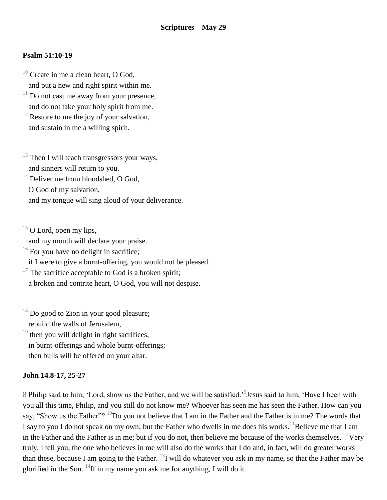## **Psalm 51:10-19**

- $10$  Create in me a clean heart, O God, and put a new and right spirit within me.
- $11$  Do not cast me away from your presence, and do not take your holy spirit from me.
- $12$  Restore to me the joy of your salvation, and sustain in me a willing spirit.
- $13$  Then I will teach transgressors your ways, and sinners will return to you.
- <sup>14</sup> Deliver me from bloodshed, O God.
	- O God of my salvation,
	- and my tongue will sing aloud of your deliverance.
- $15$  O Lord, open my lips,
- and my mouth will declare your praise.
- $16$  For you have no delight in sacrifice;
- if I were to give a burnt-offering, you would not be pleased.
- $17$  The sacrifice acceptable to God is a broken spirit; a broken and contrite heart, O God, you will not despise.
- $18$  Do good to Zion in your good pleasure; rebuild the walls of Jerusalem,
- $19$  then you will delight in right sacrifices. in burnt-offerings and whole burnt-offerings; then bulls will be offered on your altar.

## **John 14.8-17, 25-27**

8 Philip said to him, 'Lord, show us the Father, and we will be satisfied.'<sup>9</sup> Jesus said to him, 'Have I been with you all this time, Philip, and you still do not know me? Whoever has seen me has seen the Father. How can you say, "Show us the Father"? <sup>10</sup>Do you not believe that I am in the Father and the Father is in me? The words that I say to you I do not speak on my own; but the Father who dwells in me does his works.<sup>11</sup>Believe me that I am in the Father and the Father is in me; but if you do not, then believe me because of the works themselves.  $^{12}$ Very truly, I tell you, the one who believes in me will also do the works that I do and, in fact, will do greater works than these, because I am going to the Father.  $^{13}$ I will do whatever you ask in my name, so that the Father may be glorified in the Son.  $^{14}$ If in my name you ask me for anything, I will do it.